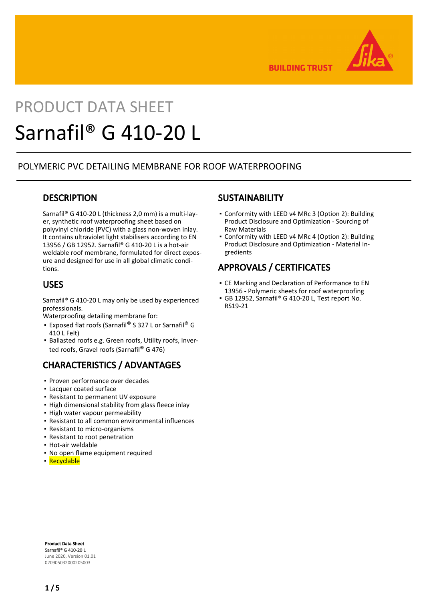

**BUILDING TRUST** 

# PRODUCT DATA SHEET Sarnafil® G 410-20 L

## POLYMERIC PVC DETAILING MEMBRANE FOR ROOF WATERPROOFING

## **DESCRIPTION**

Sarnafil® G 410-20 L (thickness 2,0 mm) is a multi-layer, synthetic roof waterproofing sheet based on polyvinyl chloride (PVC) with a glass non-woven inlay. It contains ultraviolet light stabilisers according to EN 13956 / GB 12952. Sarnafil® G 410-20 L is a hot-air weldable roof membrane, formulated for direct exposure and designed for use in all global climatic conditions.

## USES

Sarnafil® G 410-20 L may only be used by experienced professionals.

Waterproofing detailing membrane for:

- Exposed flat roofs (Sarnafil® S 327 L or Sarnafil® G 410 L Felt)
- **Ballasted roofs e.g. Green roofs, Utility roofs, Inver**ted roofs, Gravel roofs (Sarnafil® G 476)

# CHARACTERISTICS / ADVANTAGES

- Proven performance over decades
- Lacquer coated surface
- Resistant to permanent UV exposure
- **.** High dimensional stability from glass fleece inlay
- High water vapour permeability
- Resistant to all common environmental influences
- Resistant to micro-organisms
- Resistant to root penetration
- Hot-air weldable
- No open flame equipment required
- Recyclable

## **SUSTAINABILITY**

- Conformity with LEED v4 MRc 3 (Option 2): Building Product Disclosure and Optimization - Sourcing of Raw Materials
- Conformity with LEED v4 MRc 4 (Option 2): Building Product Disclosure and Optimization - Material Ingredients

# APPROVALS / CERTIFICATES

- CE Marking and Declaration of Performance to EN 13956 - Polymeric sheets for roof waterproofing
- GB 12952, Sarnafil® G 410-20 L, Test report No. RS19-21

Product Data Sheet Sarnafil® G 410-20 L June 2020, Version 01.01 020905032000205003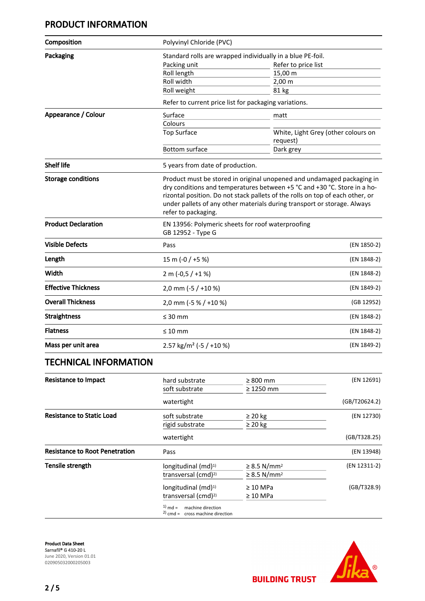# PRODUCT INFORMATION

| Composition                | Polyvinyl Chloride (PVC)                                                                                                                                                                                                                                                                                                               |                                                 |  |  |
|----------------------------|----------------------------------------------------------------------------------------------------------------------------------------------------------------------------------------------------------------------------------------------------------------------------------------------------------------------------------------|-------------------------------------------------|--|--|
| Packaging                  | Standard rolls are wrapped individually in a blue PE-foil.                                                                                                                                                                                                                                                                             |                                                 |  |  |
|                            | Packing unit                                                                                                                                                                                                                                                                                                                           | Refer to price list                             |  |  |
|                            | Roll length                                                                                                                                                                                                                                                                                                                            | 15,00 m                                         |  |  |
|                            | Roll width                                                                                                                                                                                                                                                                                                                             | $2,00 \, \text{m}$                              |  |  |
|                            | Roll weight                                                                                                                                                                                                                                                                                                                            | 81 kg                                           |  |  |
|                            | Refer to current price list for packaging variations.                                                                                                                                                                                                                                                                                  |                                                 |  |  |
| Appearance / Colour        | Surface                                                                                                                                                                                                                                                                                                                                | matt                                            |  |  |
|                            | Colours                                                                                                                                                                                                                                                                                                                                |                                                 |  |  |
|                            | <b>Top Surface</b>                                                                                                                                                                                                                                                                                                                     | White, Light Grey (other colours on<br>request) |  |  |
|                            | <b>Bottom surface</b>                                                                                                                                                                                                                                                                                                                  | Dark grey                                       |  |  |
| <b>Shelf life</b>          | 5 years from date of production.                                                                                                                                                                                                                                                                                                       |                                                 |  |  |
| <b>Storage conditions</b>  | Product must be stored in original unopened and undamaged packaging in<br>dry conditions and temperatures between +5 °C and +30 °C. Store in a ho-<br>rizontal position. Do not stack pallets of the rolls on top of each other, or<br>under pallets of any other materials during transport or storage. Always<br>refer to packaging. |                                                 |  |  |
| <b>Product Declaration</b> | EN 13956: Polymeric sheets for roof waterproofing<br>GB 12952 - Type G                                                                                                                                                                                                                                                                 |                                                 |  |  |
| <b>Visible Defects</b>     | Pass                                                                                                                                                                                                                                                                                                                                   | (EN 1850-2)                                     |  |  |
| Length                     | 15 m (-0 / +5 %)                                                                                                                                                                                                                                                                                                                       | (EN 1848-2)                                     |  |  |
| Width                      | 2 m $(-0.5 / +1%)$                                                                                                                                                                                                                                                                                                                     | (EN 1848-2)                                     |  |  |
| <b>Effective Thickness</b> | 2,0 mm (-5 / +10 %)                                                                                                                                                                                                                                                                                                                    | (EN 1849-2)                                     |  |  |
| <b>Overall Thickness</b>   | 2,0 mm (-5 % / +10 %)                                                                                                                                                                                                                                                                                                                  | (GB 12952)                                      |  |  |
| <b>Straightness</b>        | $\leq 30$ mm                                                                                                                                                                                                                                                                                                                           | (EN 1848-2)                                     |  |  |
| <b>Flatness</b>            | $\leq 10$ mm                                                                                                                                                                                                                                                                                                                           | (EN 1848-2)                                     |  |  |
| Mass per unit area         | 2.57 kg/m <sup>2</sup> (-5 / +10 %)                                                                                                                                                                                                                                                                                                    | (EN 1849-2)                                     |  |  |

## TECHNICAL INFORMATION

| <b>Resistance to Impact</b>           | hard substrate                                                          | $\geq 800$ mm                | (EN 12691)    |
|---------------------------------------|-------------------------------------------------------------------------|------------------------------|---------------|
|                                       | soft substrate                                                          | $\geq$ 1250 mm               |               |
|                                       | watertight                                                              |                              | (GB/T20624.2) |
| <b>Resistance to Static Load</b>      | soft substrate                                                          | $\geq 20$ kg                 | (EN 12730)    |
|                                       | rigid substrate                                                         | $\geq 20$ kg                 |               |
|                                       | watertight                                                              |                              | (GB/T328.25)  |
| <b>Resistance to Root Penetration</b> | Pass                                                                    |                              | (EN 13948)    |
| <b>Tensile strength</b>               | longitudinal $(md)^{1}$                                                 | $\geq$ 8.5 N/mm <sup>2</sup> | (EN 12311-2)  |
|                                       | transversal (cmd) <sup>2)</sup>                                         | $\geq$ 8.5 N/mm <sup>2</sup> |               |
|                                       | longitudinal $(md)^{1}$                                                 | $\geq 10$ MPa                | (GB/T328.9)   |
|                                       | transversal (cmd) <sup>2)</sup>                                         | $\geq 10$ MPa                |               |
|                                       | $1)$ md =<br>machine direction<br>$^{2)}$ cmd = cross machine direction |                              |               |

Product Data Sheet Sarnafil® G 410-20 L June 2020, Version 01.01 020905032000205003

2 / 5



**BUILDING TRUST**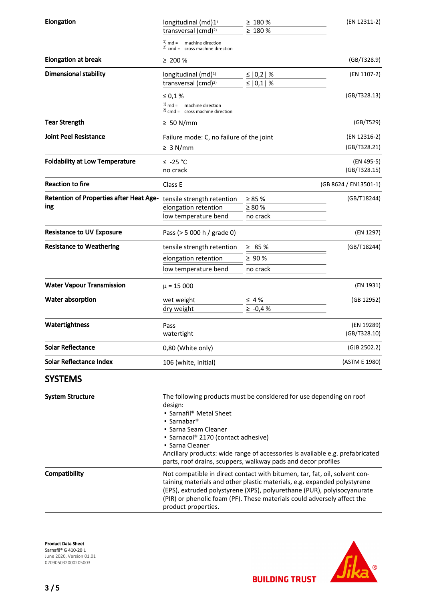| Elongation                                            | longitudinal (md)1)<br>transversal (cmd) <sup>2)</sup>                                                                                                                                                                                                                                                                                                                               | $\geq 180 \%$<br>≥ 180 %                 | (EN 12311-2)               |
|-------------------------------------------------------|--------------------------------------------------------------------------------------------------------------------------------------------------------------------------------------------------------------------------------------------------------------------------------------------------------------------------------------------------------------------------------------|------------------------------------------|----------------------------|
|                                                       | $1)$ md =<br>machine direction<br>$2)$ cmd = cross machine direction                                                                                                                                                                                                                                                                                                                 |                                          |                            |
| <b>Elongation at break</b>                            | $\geq 200 \%$                                                                                                                                                                                                                                                                                                                                                                        |                                          | (GB/T328.9)                |
| <b>Dimensional stability</b>                          | longitudinal (md) <sup>1)</sup><br>transversal (cmd) <sup>2)</sup>                                                                                                                                                                                                                                                                                                                   | ≤ $ 0,2 $ %<br>$\leq$   0,1  %           | (EN 1107-2)                |
|                                                       | $\leq 0.1 \%$                                                                                                                                                                                                                                                                                                                                                                        |                                          | (GB/T328.13)               |
|                                                       | $1)$ md = machine direction<br>$2)$ cmd = cross machine direction                                                                                                                                                                                                                                                                                                                    |                                          |                            |
| <b>Tear Strength</b>                                  | $\geq 50$ N/mm                                                                                                                                                                                                                                                                                                                                                                       |                                          | (GB/T529)                  |
| <b>Joint Peel Resistance</b>                          | Failure mode: C, no failure of the joint                                                                                                                                                                                                                                                                                                                                             |                                          | (EN 12316-2)               |
|                                                       | $\geq 3$ N/mm                                                                                                                                                                                                                                                                                                                                                                        |                                          | (GB/T328.21)               |
| <b>Foldability at Low Temperature</b>                 | $≤ -25 °C$<br>no crack                                                                                                                                                                                                                                                                                                                                                               |                                          | (EN 495-5)<br>(GB/T328.15) |
| <b>Reaction to fire</b>                               | Class E                                                                                                                                                                                                                                                                                                                                                                              |                                          | (GB 8624 / EN13501-1)      |
| <b>Retention of Properties after Heat Age-</b><br>ing | tensile strength retention<br>elongation retention<br>low temperature bend                                                                                                                                                                                                                                                                                                           | $\geq 85 \%$<br>$\geq 80 \%$<br>no crack | (GB/T18244)                |
| <b>Resistance to UV Exposure</b>                      | Pass (> 5 000 h / grade 0)                                                                                                                                                                                                                                                                                                                                                           |                                          | (EN 1297)                  |
| <b>Resistance to Weathering</b>                       | tensile strength retention<br>elongation retention<br>low temperature bend                                                                                                                                                                                                                                                                                                           | $\geq 85 \%$<br>$\geq 90 \%$<br>no crack | (GB/T18244)                |
| <b>Water Vapour Transmission</b>                      | $\mu$ = 15 000                                                                                                                                                                                                                                                                                                                                                                       |                                          | (EN 1931)                  |
| Water absorption                                      | wet weight                                                                                                                                                                                                                                                                                                                                                                           | $\leq 4\%$                               | (GB 12952)                 |
|                                                       | dry weight                                                                                                                                                                                                                                                                                                                                                                           | $\ge -0.4 %$                             |                            |
| Watertightness                                        | Pass<br>watertight                                                                                                                                                                                                                                                                                                                                                                   |                                          | (EN 19289)<br>(GB/T328.10) |
| <b>Solar Reflectance</b>                              | 0,80 (White only)                                                                                                                                                                                                                                                                                                                                                                    |                                          | (GJB 2502.2)               |
| Solar Reflectance Index                               | 106 (white, initial)                                                                                                                                                                                                                                                                                                                                                                 |                                          | (ASTM E 1980)              |
| <b>SYSTEMS</b>                                        |                                                                                                                                                                                                                                                                                                                                                                                      |                                          |                            |
| <b>System Structure</b>                               | The following products must be considered for use depending on roof<br>design:<br>• Sarnafil <sup>®</sup> Metal Sheet<br>• Sarnabar <sup>®</sup><br>• Sarna Seam Cleaner<br>• Sarnacol® 2170 (contact adhesive)<br>• Sarna Cleaner<br>Ancillary products: wide range of accessories is available e.g. prefabricated<br>parts, roof drains, scuppers, walkway pads and decor profiles |                                          |                            |
| Compatibility                                         | Not compatible in direct contact with bitumen, tar, fat, oil, solvent con-<br>taining materials and other plastic materials, e.g. expanded polystyrene<br>(EPS), extruded polystyrene (XPS), polyurethane (PUR), polyisocyanurate<br>(PIR) or phenolic foam (PF). These materials could adversely affect the<br>product properties.                                                  |                                          |                            |

Product Data Sheet Sarnafil® G 410-20 L June 2020, Version 01.01 020905032000205003

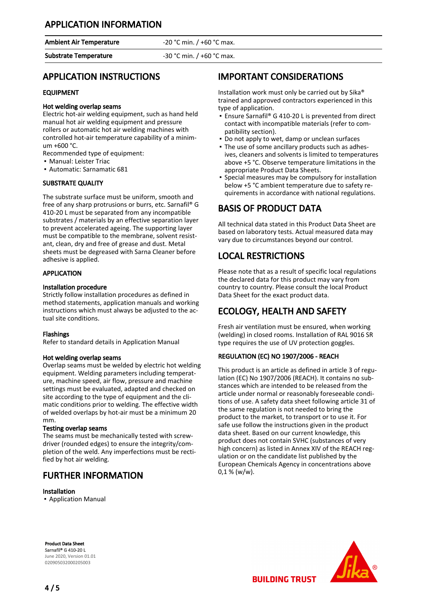## APPLICATION INFORMATION

Ambient Air Temperature **-20 °C** min. / +60 °C max.

Substrate Temperature -30 °C min. / +60 °C max.

## APPLICATION INSTRUCTIONS

#### EQUIPMENT

#### Hot welding overlap seams

Electric hot-air welding equipment, such as hand held manual hot air welding equipment and pressure rollers or automatic hot air welding machines with controlled hot-air temperature capability of a minimum +600 °C.

Recommended type of equipment:

- Manual: Leister Triac
- Automatic: Sarnamatic 681

#### SUBSTRATE QUALITY

The substrate surface must be uniform, smooth and free of any sharp protrusions or burrs, etc. Sarnafil® G 410-20 L must be separated from any incompatible substrates / materials by an effective separation layer to prevent accelerated ageing. The supporting layer must be compatible to the membrane, solvent resistant, clean, dry and free of grease and dust. Metal sheets must be degreased with Sarna Cleaner before adhesive is applied.

#### **APPLICATION**

#### Installation procedure

Strictly follow installation procedures as defined in method statements, application manuals and working instructions which must always be adjusted to the actual site conditions.

#### Flashings

Refer to standard details in Application Manual

#### Hot welding overlap seams

Overlap seams must be welded by electric hot welding equipment. Welding parameters including temperature, machine speed, air flow, pressure and machine settings must be evaluated, adapted and checked on site according to the type of equipment and the climatic conditions prior to welding. The effective width of welded overlaps by hot-air must be a minimum 20 mm.

#### Testing overlap seams

The seams must be mechanically tested with screwdriver (rounded edges) to ensure the integrity/completion of the weld. Any imperfections must be rectified by hot air welding.

## FURTHER INFORMATION

#### Installation

▪ Application Manual

## IMPORTANT CONSIDERATIONS

Installation work must only be carried out by Sika® trained and approved contractors experienced in this type of application.

- Ensure Sarnafil® G 410-20 L is prevented from direct contact with incompatible materials (refer to compatibility section).
- Do not apply to wet, damp or unclean surfaces
- The use of some ancillary products such as adhes-▪ ives, cleaners and solvents is limited to temperatures above +5 °C. Observe temperature limitations in the appropriate Product Data Sheets.
- **•** Special measures may be compulsory for installation below +5 °C ambient temperature due to safety requirements in accordance with national regulations.

## BASIS OF PRODUCT DATA

All technical data stated in this Product Data Sheet are based on laboratory tests. Actual measured data may vary due to circumstances beyond our control.

## LOCAL RESTRICTIONS

Please note that as a result of specific local regulations the declared data for this product may vary from country to country. Please consult the local Product Data Sheet for the exact product data.

# ECOLOGY, HEALTH AND SAFETY

Fresh air ventilation must be ensured, when working (welding) in closed rooms. Installation of RAL 9016 SR type requires the use of UV protection goggles.

#### REGULATION (EC) NO 1907/2006 - REACH

This product is an article as defined in article 3 of regulation (EC) No 1907/2006 (REACH). It contains no substances which are intended to be released from the article under normal or reasonably foreseeable conditions of use. A safety data sheet following article 31 of the same regulation is not needed to bring the product to the market, to transport or to use it. For safe use follow the instructions given in the product data sheet. Based on our current knowledge, this product does not contain SVHC (substances of very high concern) as listed in Annex XIV of the REACH regulation or on the candidate list published by the European Chemicals Agency in concentrations above  $0,1 %$  (w/w).

Product Data Sheet Sarnafil® G 410-20 L June 2020, Version 01.01 020905032000205003



**BUILDING TRUST**